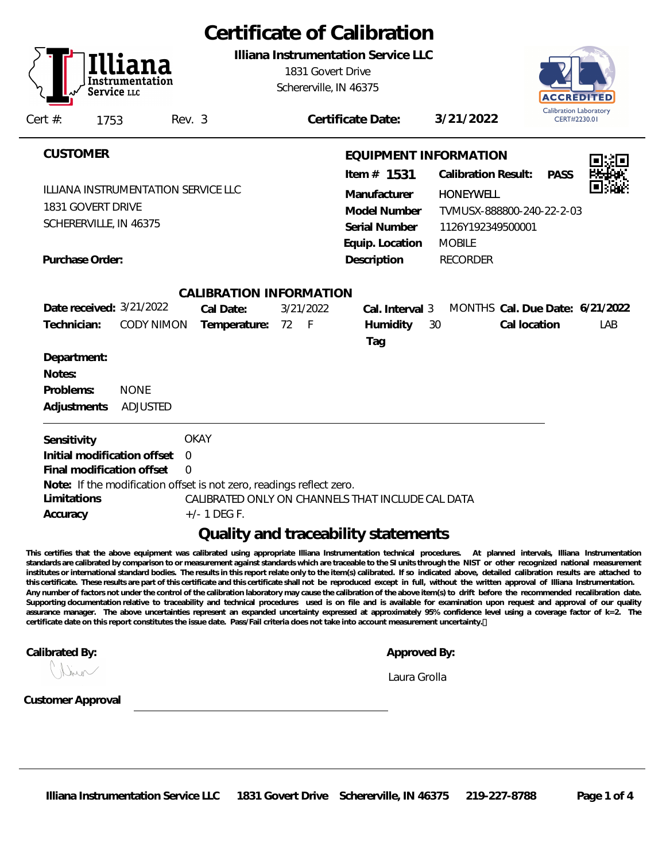|                                                                                                                                                                                                                                     | Certificate of Calibration                                                                                                                                                                                                                     |
|-------------------------------------------------------------------------------------------------------------------------------------------------------------------------------------------------------------------------------------|------------------------------------------------------------------------------------------------------------------------------------------------------------------------------------------------------------------------------------------------|
| Instrumentation<br>Service LLC                                                                                                                                                                                                      | Illiana Instrumentation Service LLC<br>1831 Govert Drive<br>Schererville, IN 46375<br>ACCREDIT<br><b>Calibration Laboratory</b>                                                                                                                |
| Cert $#$ :<br>1753<br>Rev. 3                                                                                                                                                                                                        | 3/21/2022<br>Certificate Date:<br>CERT#2230.01                                                                                                                                                                                                 |
| <b>CUSTOMER</b><br>ILLIANA INSTRUMENTATION SERVICE LLC<br>1831 GOVERT DRIVE<br>SCHERERVILLE, IN 46375                                                                                                                               | EQUIPMENT INFORMATION<br>Item $#$ 1531<br><b>Calibration Result:</b><br><b>PASS</b><br>Manufacturer<br><b>HONEYWELL</b><br>Model Number<br>TVMUSX-888800-240-22-2-03<br>Serial Number<br>1126Y192349500001<br>Equip. Location<br><b>MOBILE</b> |
| Purchase Order:                                                                                                                                                                                                                     | Description<br><b>RECORDER</b>                                                                                                                                                                                                                 |
| CALIBRATION INFORMATION<br>Date received: 3/21/2022<br>Cal Date:<br>Technician:<br><b>CODY NIMON</b><br>Temperature:<br>72<br>Department:<br>Notes:<br>Problems:<br><b>NONE</b><br>Adjustments<br><b>ADJUSTED</b>                   | 3/21/2022<br>MONTHS Cal. Due Date: 6/21/2022<br>Cal. Interval 3<br>Humidity<br>Cal location<br>$-F$<br>30<br>LAB<br>Tag                                                                                                                        |
| <b>OKAY</b><br>Sensitivity<br>Initial modification offset<br>$\Omega$<br>Final modification offset<br>$\Omega$<br>Note: If the modification offset is not zero, readings reflect zero.<br>Limitations<br>$+/- 1$ DEG F.<br>Accuracy | CALIBRATED ONLY ON CHANNELS THAT INCLUDE CAL DATA<br>Quality and traceability statements                                                                                                                                                       |

**This certifies that the above equipment was calibrated using appropriate Illiana Instrumentation technical procedures. At planned intervals, Illiana Instrumentation standards are calibrated by comparison to or measurement against standards which are traceable to the SI units through the NIST or other recognized national measurement institutes or international standard bodies. The results in this report relate only to the item(s) calibrated. If so indicated above, detailed calibration results are attached to this certificate. These results are part of this certificate and this certificate shall not be reproduced except in full, without the written approval of Illiana Instrumentation. Any number of factors not under the control of the calibration laboratory may cause the calibration of the above item(s) to drift before the recommended recalibration date. Supporting documentation relative to traceability and technical procedures used is on file and is available for examination upon request and approval of our quality assurance manager. The above uncertainties represent an expanded uncertainty expressed at approximately 95% confidence level using a coverage factor of k=2. The certificate date on this report constitutes the issue date. Pass/Fail criteria does not take into account measurement uncertainty.** 

**Calibrated By: Approved By: Approved By: Approved By: Approved By: Approved By: Approved By: Approved By: Approved By: Approved By: Approved By: Approved By: Approved By: Approved By: Approved** 

| Approved By: |  |
|--------------|--|

*Laura Grolla*

Incor

**Customer Approval**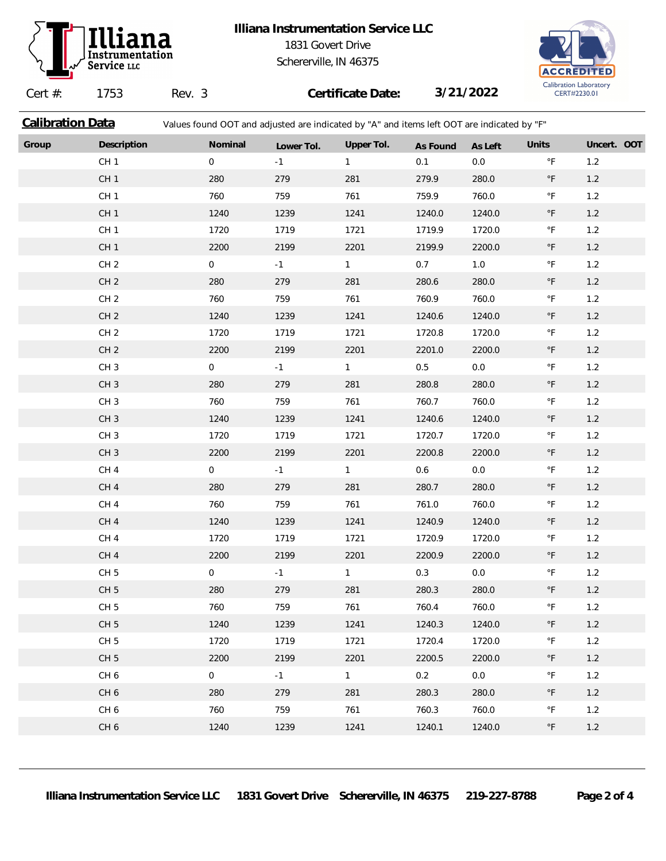

## **Illiana Instrumentation Service LLC** 1831 Govert Drive Schererville, IN 46375



Cert #: 1753 Rev. 3 **Certificate Date: 3/21/2022 Calibration Data** Values found OOT and adjusted are indicated by "A" and items left OOT are indicated by "F" **Group Description Nominal Lower Tol. Upper Tol. As Found As Left Units Uncert. OOT** CH 1 0.0 °F 1.2 CH 1 280 279 281 279.9 280.0 °F 1.2 CH 1 760 759 761 759.9 760.0 °F 1.2 CH 1 1240 1239 1241 1240.0 1240.0 °F 1.2 CH 1 1720 1719 1721 1719.9 1720.0 °F 1.2 CH 1 2200 2199 2201 2199.9 2200.0 °F 1.2 CH 2 0 -1 1 0.7 1.0 °F 1.2 CH 2 280 279 281 280.6 280.0 °F 1.2 CH 2 760 759 761 760.9 760.0 °F 1.2 CH 2 1240 1239 1241 1240.6 1240.0 °F 1.2 CH 2 1720 1719 1721 1720.8 1720.0 °F 1.2 CH 2 2200 2199 2201 2201.0 2200.0 °F 1.2 CH 3 0 0 -1 1 0.5 0.0 °F 1.2 CH 3 280 279 281 280.8 280.0 °F 1.2 CH 3 760 759 761 760.7 760.0 °F 1.2 CH 3 1240 1239 1241 1240.6 1240.0 °F 1.2 CH 3 1720 1719 1721 1720.7 1720.0 °F 1.2 CH 3 2200 2199 2201 2200.8 2200.0 °F 1.2 CH 4 0 -1 1 0.6 0.0 °F 1.2 CH 4 280 279 281 280.7 280.0 °F 1.2 CH 4 760 759 761 761.0 760.0 °F 1.2 CH 4 1240 1239 1241 1240.9 1240.0 °F 1.2 CH 4 1720 1719 1721 1720.9 1720.0 °F 1.2 CH 4 2200 2199 2201 2200.9 2200.0 °F 1.2 CH 5 0 0 -1 1 0.3 0.0 °F 1.2 CH 5 280 279 281 280.3 280.0 °F 1.2 CH 5 760 759 761 760.4 760.0 °F 1.2 CH 5 1240 1239 1241 1240.3 1240.0 °F 1.2 CH 5 1720 1719 1721 1720.4 1720.0 °F 1.2 CH 5 2200 2199 2201 2200.5 2200.0 °F 1.2 CH 6 0 -1 1 0.2 0.0 °F 1.2 CH 6 280 279 281 280.3 280.0 °F 1.2 CH 6 760 759 761 760.3 760.0 °F 1.2 CH 6 1240 1239 1241 1240.1 1240.0 °F 1.2

**Illiana Instrumentation Service LLC 1831 Govert Drive Schererville, IN 46375 219-227-8788 Page 2 of 4**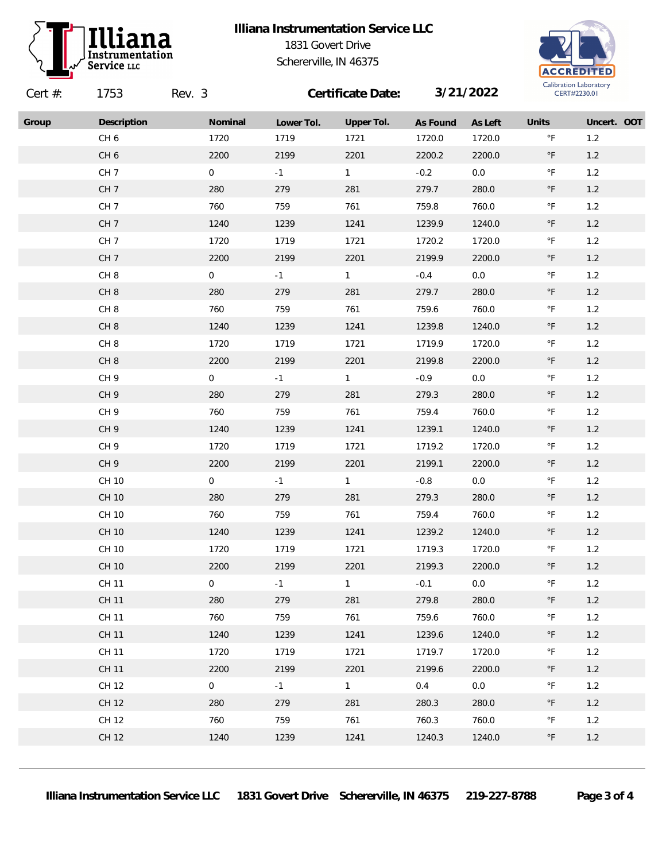

## **Illiana Instrumentation Service LLC** 1831 Govert Drive Schererville, IN 46375



| Cert $#$ : | 1753            | Rev. 3         |            | Certificate Date: |          | 3/21/2022 |                       | Callbration Laboratory<br>CERT#2230.01 |  |
|------------|-----------------|----------------|------------|-------------------|----------|-----------|-----------------------|----------------------------------------|--|
| Group      | Description     | Nominal        | Lower Tol. | Upper Tol.        | As Found | As Left   | Units                 | Uncert. OOT                            |  |
|            | CH <sub>6</sub> | 1720           | 1719       | 1721              | 1720.0   | 1720.0    | $^\circ \mathsf{F}$   | 1.2                                    |  |
|            | CH <sub>6</sub> | 2200           | 2199       | 2201              | 2200.2   | 2200.0    | $^\circ \mathsf{F}$   | $1.2$                                  |  |
|            | CH <sub>7</sub> | $\overline{0}$ | $-1$       | 1                 | $-0.2$   | $0.0\,$   | $^\circ \mathsf{F}$   | 1.2                                    |  |
|            | CH <sub>7</sub> | 280            | 279        | 281               | 279.7    | 280.0     | $^\circ \mathsf{F}$   | $1.2$                                  |  |
|            | CH <sub>7</sub> | 760            | 759        | 761               | 759.8    | 760.0     | $^\circ\mathsf{F}$    | $1.2$                                  |  |
|            | CH <sub>7</sub> | 1240           | 1239       | 1241              | 1239.9   | 1240.0    | $\circ$ F             | $1.2$                                  |  |
|            | CH <sub>7</sub> | 1720           | 1719       | 1721              | 1720.2   | 1720.0    | $^\circ \mathsf{F}$   | $1.2$                                  |  |
|            | CH <sub>7</sub> | 2200           | 2199       | 2201              | 2199.9   | 2200.0    | $^\circ \mathsf{F}$   | $1.2$                                  |  |
|            | CH <sub>8</sub> | $\overline{0}$ | $-1$       | $\mathbf{1}$      | $-0.4$   | $0.0\,$   | $^\circ\mathsf{F}$    | 1.2                                    |  |
|            | CH <sub>8</sub> | 280            | 279        | 281               | 279.7    | 280.0     | $^\circ \mathsf{F}$   | $1.2$                                  |  |
|            | CH <sub>8</sub> | 760            | 759        | 761               | 759.6    | 760.0     | $^\circ \mathsf{F}$   | 1.2                                    |  |
|            | CH <sub>8</sub> | 1240           | 1239       | 1241              | 1239.8   | 1240.0    | $^\circ \mathsf{F}$   | $1.2$                                  |  |
|            | CH <sub>8</sub> | 1720           | 1719       | 1721              | 1719.9   | 1720.0    | $^{\circ} \mathsf{F}$ | $1.2$                                  |  |
|            | CH <sub>8</sub> | 2200           | 2199       | 2201              | 2199.8   | 2200.0    | $^\circ \mathsf{F}$   | $1.2$                                  |  |
|            | CH <sub>9</sub> | $\overline{0}$ | $-1$       | 1                 | $-0.9$   | $0.0\,$   | $^\circ\mathsf{F}$    | $1.2$                                  |  |
|            | CH <sub>9</sub> | 280            | 279        | 281               | 279.3    | 280.0     | $^\circ \mathsf{F}$   | $1.2$                                  |  |
|            | CH <sub>9</sub> | 760            | 759        | 761               | 759.4    | 760.0     | $^{\circ} \mathsf{F}$ | 1.2                                    |  |
|            | CH <sub>9</sub> | 1240           | 1239       | 1241              | 1239.1   | 1240.0    | $^\circ \mathsf{F}$   | $1.2$                                  |  |
|            | CH <sub>9</sub> | 1720           | 1719       | 1721              | 1719.2   | 1720.0    | $^\circ \mathsf{F}$   | 1.2                                    |  |
|            | CH <sub>9</sub> | 2200           | 2199       | 2201              | 2199.1   | 2200.0    | $^\circ \mathsf{F}$   | $1.2$                                  |  |
|            | CH 10           | $\overline{0}$ | $-1$       | $\mathbf{1}$      | $-0.8$   | $0.0\,$   | $^\circ\mathsf{F}$    | 1.2                                    |  |
|            | CH 10           | 280            | 279        | 281               | 279.3    | 280.0     | $^\circ \mathsf{F}$   | $1.2$                                  |  |
|            | CH 10           | 760            | 759        | 761               | 759.4    | 760.0     | $^\circ\mathsf{F}$    | $1.2$                                  |  |
|            | CH 10           | 1240           | 1239       | 1241              | 1239.2   | 1240.0    | $^\circ \mathsf{F}$   | $1.2$                                  |  |
|            | CH 10           | 1720           | 1719       | 1721              | 1719.3   | 1720.0    | $^\circ \mathsf{F}$   | $1.2$                                  |  |
|            | <b>CH 10</b>    | 2200           | 2199       | 2201              | 2199.3   | 2200.0    | $^\circ \mathsf{F}$   | $1.2$                                  |  |
|            | <b>CH 11</b>    | $\mathbf 0$    | $-1$       | $\mathbf{1}$      | $-0.1$   | 0.0       | $^\circ \mathsf{F}$   | 1.2                                    |  |
|            | <b>CH 11</b>    | 280            | 279        | 281               | 279.8    | 280.0     | $^\circ \mathsf{F}$   | $1.2$                                  |  |
|            | CH 11           | 760            | 759        | 761               | 759.6    | 760.0     | $^\circ\mathsf{F}$    | 1.2                                    |  |
|            | <b>CH 11</b>    | 1240           | 1239       | 1241              | 1239.6   | 1240.0    | $^{\circ} \mathsf{F}$ | $1.2$                                  |  |
|            | CH 11           | 1720           | 1719       | 1721              | 1719.7   | 1720.0    | $^\circ \mathsf{F}$   | 1.2                                    |  |
|            | <b>CH 11</b>    | 2200           | 2199       | 2201              | 2199.6   | 2200.0    | $\circ$ F             | 1.2                                    |  |
|            | CH 12           | $\overline{0}$ | $-1$       | 1                 | 0.4      | 0.0       | $^\circ\mathsf{F}$    | 1.2                                    |  |
|            | CH 12           | 280            | 279        | 281               | 280.3    | 280.0     | $^\circ \mathsf{F}$   | $1.2$                                  |  |
|            | CH 12           | 760            | 759        | 761               | 760.3    | 760.0     | $\degree$ F           | 1.2                                    |  |
|            | CH 12           | 1240           | 1239       | 1241              | 1240.3   | 1240.0    | $^{\circ} \mathsf{F}$ | $1.2$                                  |  |
|            |                 |                |            |                   |          |           |                       |                                        |  |

**Illiana Instrumentation Service LLC 1831 Govert Drive Schererville, IN 46375 219-227-8788 Page 3 of 4**